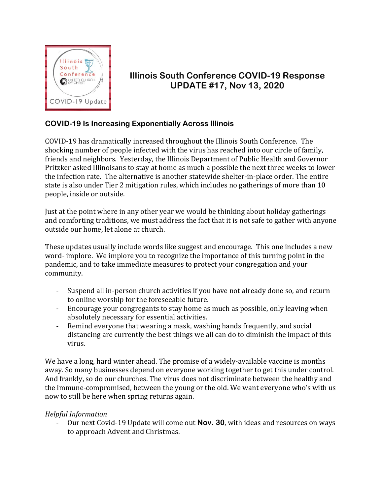

## **Illinois South Conference COVID-19 Response UPDATE #17, Nov 13, 2020**

## **COVID-19 Is Increasing Exponentially Across Illinois**

COVID-19 has dramatically increased throughout the Illinois South Conference. The shocking number of people infected with the virus has reached into our circle of family, friends and neighbors. Yesterday, the Illinois Department of Public Health and Governor Pritzker asked Illinoisans to stay at home as much a possible the next three weeks to lower the infection rate. The alternative is another statewide shelter-in-place order. The entire state is also under Tier 2 mitigation rules, which includes no gatherings of more than 10 people, inside or outside.

Just at the point where in any other year we would be thinking about holiday gatherings and comforting traditions, we must address the fact that it is not safe to gather with anyone outside our home, let alone at church.

These updates usually include words like suggest and encourage. This one includes a new word- implore. We implore you to recognize the importance of this turning point in the pandemic, and to take immediate measures to protect your congregation and your community.

- Suspend all in-person church activities if you have not already done so, and return to online worship for the foreseeable future.
- Encourage your congregants to stay home as much as possible, only leaving when absolutely necessary for essential activities.
- Remind everyone that wearing a mask, washing hands frequently, and social distancing are currently the best things we all can do to diminish the impact of this virus.

We have a long, hard winter ahead. The promise of a widely-available vaccine is months away. So many businesses depend on everyone working together to get this under control. And frankly, so do our churches. The virus does not discriminate between the healthy and the immune-compromised, between the young or the old. We want everyone who's with us now to still be here when spring returns again.

## *Helpful Information*

- Our next Covid-19 Update will come out **Nov. 30**, with ideas and resources on ways to approach Advent and Christmas.